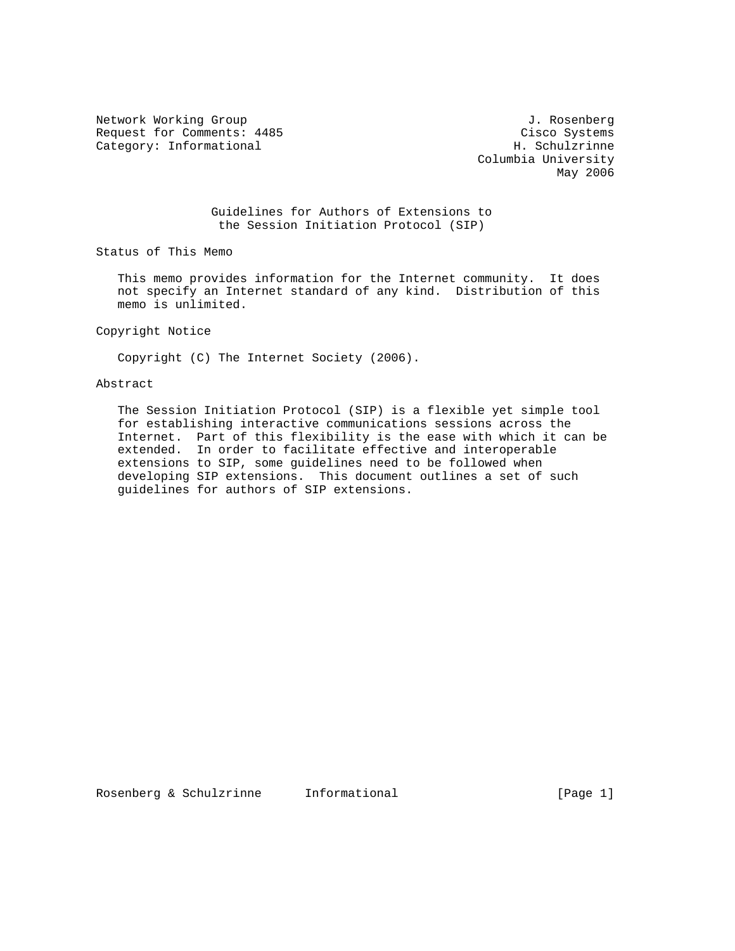Network Working Group 3. 2008 1. Rosenberg 3. Rosenberg 3. Rosenberg Request for Comments: 4485 Cisco Systems<br>
Category: Informational Category: Informational H. Schulzrinne Category: Informational

 Columbia University May 2006

 Guidelines for Authors of Extensions to the Session Initiation Protocol (SIP)

Status of This Memo

 This memo provides information for the Internet community. It does not specify an Internet standard of any kind. Distribution of this memo is unlimited.

Copyright Notice

Copyright (C) The Internet Society (2006).

## Abstract

 The Session Initiation Protocol (SIP) is a flexible yet simple tool for establishing interactive communications sessions across the Internet. Part of this flexibility is the ease with which it can be extended. In order to facilitate effective and interoperable extensions to SIP, some guidelines need to be followed when developing SIP extensions. This document outlines a set of such guidelines for authors of SIP extensions.

Rosenberg & Schulzrinne Informational (Page 1)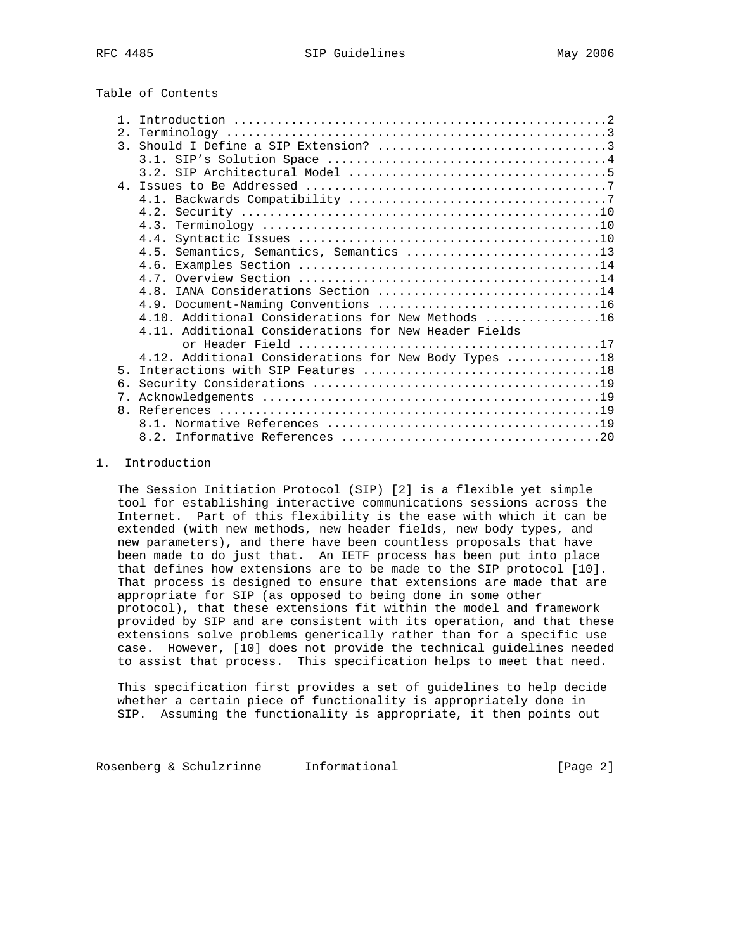# Table of Contents

|                | 4.5. Semantics, Semantics, Semantics 13               |
|----------------|-------------------------------------------------------|
|                |                                                       |
|                |                                                       |
|                | 4.8. IANA Considerations Section 14                   |
|                |                                                       |
|                | 4.10. Additional Considerations for New Methods 16    |
|                | 4.11. Additional Considerations for New Header Fields |
|                |                                                       |
|                | 4.12. Additional Considerations for New Body Types 18 |
| 5 <sub>1</sub> |                                                       |
| 6.             |                                                       |
| 7 <sub>1</sub> |                                                       |
|                |                                                       |
|                |                                                       |
|                |                                                       |

#### 1. Introduction

 The Session Initiation Protocol (SIP) [2] is a flexible yet simple tool for establishing interactive communications sessions across the Internet. Part of this flexibility is the ease with which it can be extended (with new methods, new header fields, new body types, and new parameters), and there have been countless proposals that have been made to do just that. An IETF process has been put into place that defines how extensions are to be made to the SIP protocol [10]. That process is designed to ensure that extensions are made that are appropriate for SIP (as opposed to being done in some other protocol), that these extensions fit within the model and framework provided by SIP and are consistent with its operation, and that these extensions solve problems generically rather than for a specific use case. However, [10] does not provide the technical guidelines needed to assist that process. This specification helps to meet that need.

 This specification first provides a set of guidelines to help decide whether a certain piece of functionality is appropriately done in SIP. Assuming the functionality is appropriate, it then points out

Rosenberg & Schulzrinne Informational (Page 2)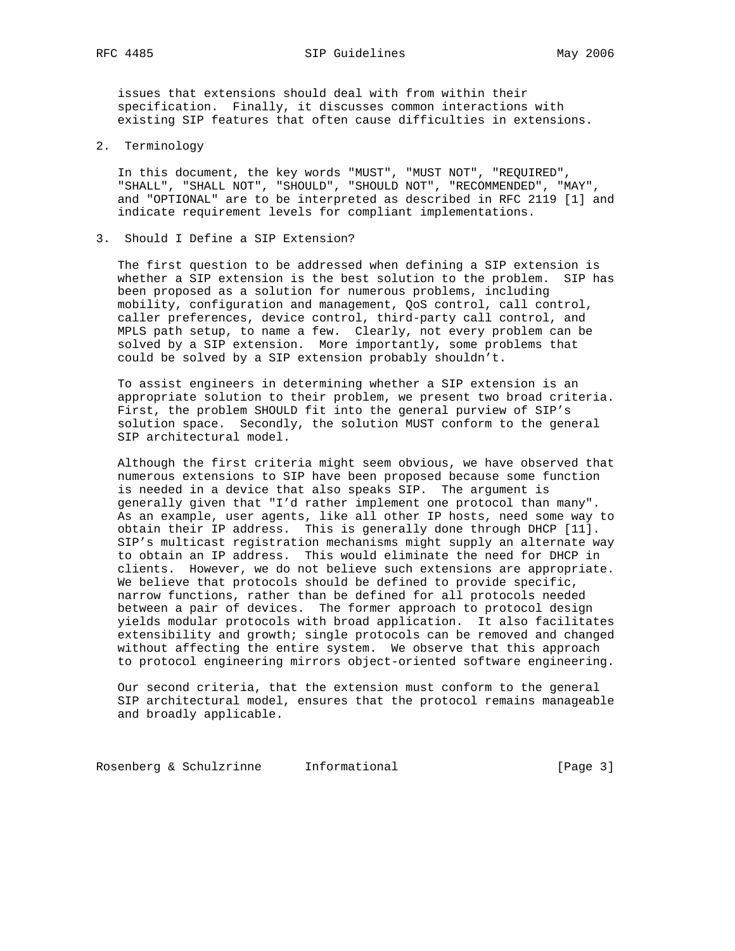RFC 4485 SIP Guidelines May 2006

 issues that extensions should deal with from within their specification. Finally, it discusses common interactions with existing SIP features that often cause difficulties in extensions.

2. Terminology

 In this document, the key words "MUST", "MUST NOT", "REQUIRED", "SHALL", "SHALL NOT", "SHOULD", "SHOULD NOT", "RECOMMENDED", "MAY", and "OPTIONAL" are to be interpreted as described in RFC 2119 [1] and indicate requirement levels for compliant implementations.

3. Should I Define a SIP Extension?

 The first question to be addressed when defining a SIP extension is whether a SIP extension is the best solution to the problem. SIP has been proposed as a solution for numerous problems, including mobility, configuration and management, QoS control, call control, caller preferences, device control, third-party call control, and MPLS path setup, to name a few. Clearly, not every problem can be solved by a SIP extension. More importantly, some problems that could be solved by a SIP extension probably shouldn't.

 To assist engineers in determining whether a SIP extension is an appropriate solution to their problem, we present two broad criteria. First, the problem SHOULD fit into the general purview of SIP's solution space. Secondly, the solution MUST conform to the general SIP architectural model.

 Although the first criteria might seem obvious, we have observed that numerous extensions to SIP have been proposed because some function is needed in a device that also speaks SIP. The argument is generally given that "I'd rather implement one protocol than many". As an example, user agents, like all other IP hosts, need some way to obtain their IP address. This is generally done through DHCP [11]. SIP's multicast registration mechanisms might supply an alternate way to obtain an IP address. This would eliminate the need for DHCP in clients. However, we do not believe such extensions are appropriate. We believe that protocols should be defined to provide specific, narrow functions, rather than be defined for all protocols needed between a pair of devices. The former approach to protocol design yields modular protocols with broad application. It also facilitates extensibility and growth; single protocols can be removed and changed without affecting the entire system. We observe that this approach to protocol engineering mirrors object-oriented software engineering.

 Our second criteria, that the extension must conform to the general SIP architectural model, ensures that the protocol remains manageable and broadly applicable.

Rosenberg & Schulzrinne Informational (Page 3)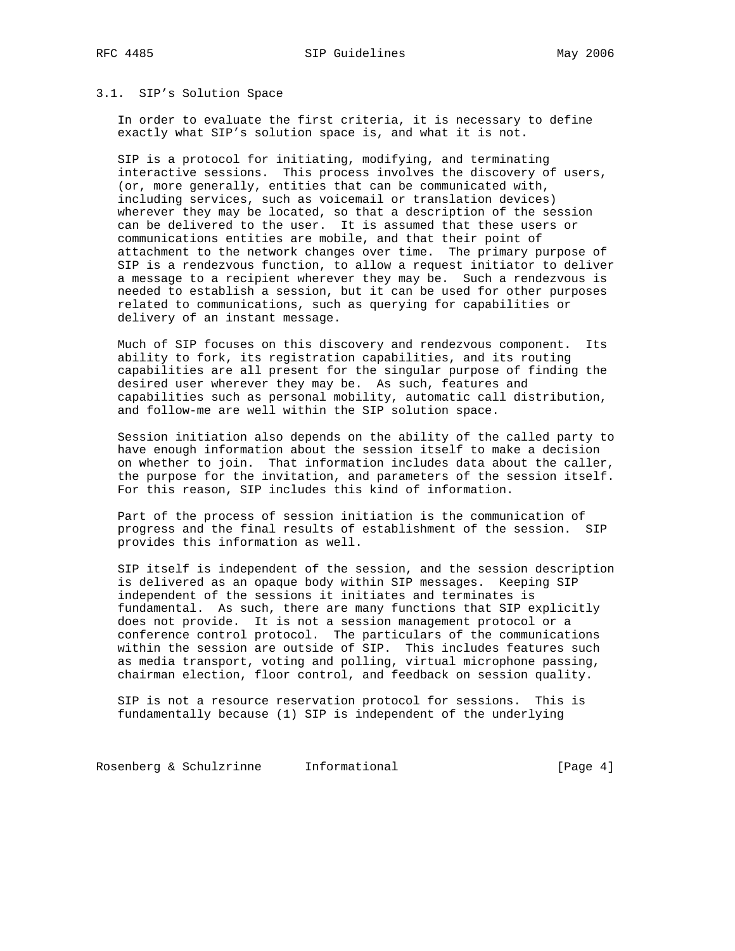#### 3.1. SIP's Solution Space

 In order to evaluate the first criteria, it is necessary to define exactly what SIP's solution space is, and what it is not.

 SIP is a protocol for initiating, modifying, and terminating interactive sessions. This process involves the discovery of users, (or, more generally, entities that can be communicated with, including services, such as voicemail or translation devices) wherever they may be located, so that a description of the session can be delivered to the user. It is assumed that these users or communications entities are mobile, and that their point of attachment to the network changes over time. The primary purpose of SIP is a rendezvous function, to allow a request initiator to deliver a message to a recipient wherever they may be. Such a rendezvous is needed to establish a session, but it can be used for other purposes related to communications, such as querying for capabilities or delivery of an instant message.

 Much of SIP focuses on this discovery and rendezvous component. Its ability to fork, its registration capabilities, and its routing capabilities are all present for the singular purpose of finding the desired user wherever they may be. As such, features and capabilities such as personal mobility, automatic call distribution, and follow-me are well within the SIP solution space.

 Session initiation also depends on the ability of the called party to have enough information about the session itself to make a decision on whether to join. That information includes data about the caller, the purpose for the invitation, and parameters of the session itself. For this reason, SIP includes this kind of information.

 Part of the process of session initiation is the communication of progress and the final results of establishment of the session. SIP provides this information as well.

 SIP itself is independent of the session, and the session description is delivered as an opaque body within SIP messages. Keeping SIP independent of the sessions it initiates and terminates is fundamental. As such, there are many functions that SIP explicitly does not provide. It is not a session management protocol or a conference control protocol. The particulars of the communications within the session are outside of SIP. This includes features such as media transport, voting and polling, virtual microphone passing, chairman election, floor control, and feedback on session quality.

 SIP is not a resource reservation protocol for sessions. This is fundamentally because (1) SIP is independent of the underlying

Rosenberg & Schulzrinne Informational (Page 4)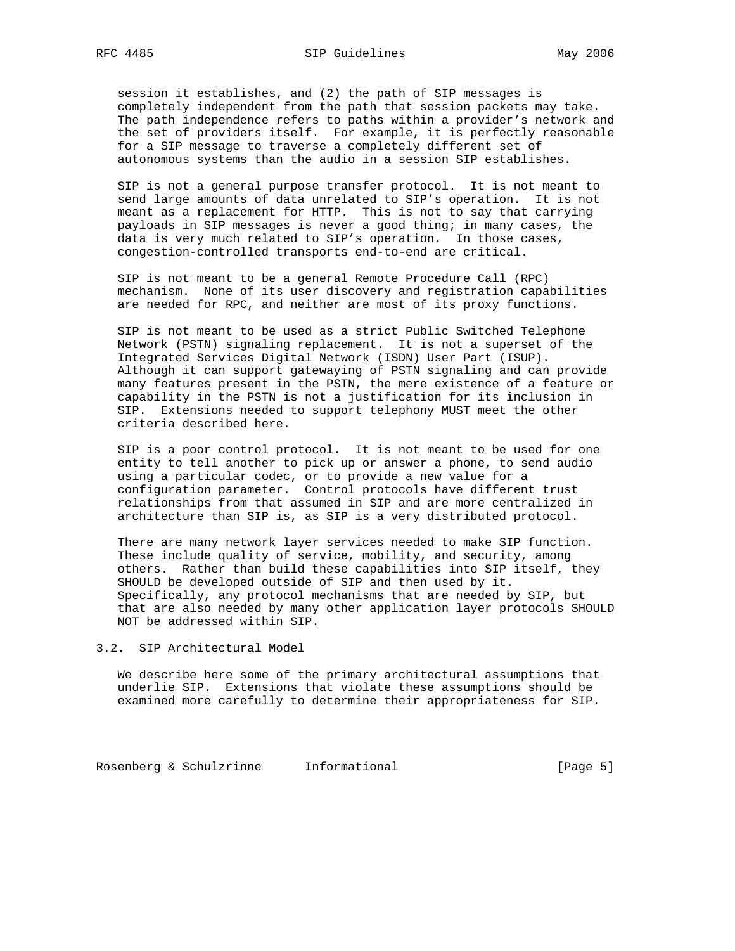session it establishes, and (2) the path of SIP messages is completely independent from the path that session packets may take. The path independence refers to paths within a provider's network and the set of providers itself. For example, it is perfectly reasonable for a SIP message to traverse a completely different set of autonomous systems than the audio in a session SIP establishes.

 SIP is not a general purpose transfer protocol. It is not meant to send large amounts of data unrelated to SIP's operation. It is not meant as a replacement for HTTP. This is not to say that carrying payloads in SIP messages is never a good thing; in many cases, the data is very much related to SIP's operation. In those cases, congestion-controlled transports end-to-end are critical.

 SIP is not meant to be a general Remote Procedure Call (RPC) mechanism. None of its user discovery and registration capabilities are needed for RPC, and neither are most of its proxy functions.

 SIP is not meant to be used as a strict Public Switched Telephone Network (PSTN) signaling replacement. It is not a superset of the Integrated Services Digital Network (ISDN) User Part (ISUP). Although it can support gatewaying of PSTN signaling and can provide many features present in the PSTN, the mere existence of a feature or capability in the PSTN is not a justification for its inclusion in SIP. Extensions needed to support telephony MUST meet the other criteria described here.

 SIP is a poor control protocol. It is not meant to be used for one entity to tell another to pick up or answer a phone, to send audio using a particular codec, or to provide a new value for a configuration parameter. Control protocols have different trust relationships from that assumed in SIP and are more centralized in architecture than SIP is, as SIP is a very distributed protocol.

 There are many network layer services needed to make SIP function. These include quality of service, mobility, and security, among others. Rather than build these capabilities into SIP itself, they SHOULD be developed outside of SIP and then used by it. Specifically, any protocol mechanisms that are needed by SIP, but that are also needed by many other application layer protocols SHOULD NOT be addressed within SIP.

3.2. SIP Architectural Model

 We describe here some of the primary architectural assumptions that underlie SIP. Extensions that violate these assumptions should be examined more carefully to determine their appropriateness for SIP.

Rosenberg & Schulzrinne Informational (Page 5)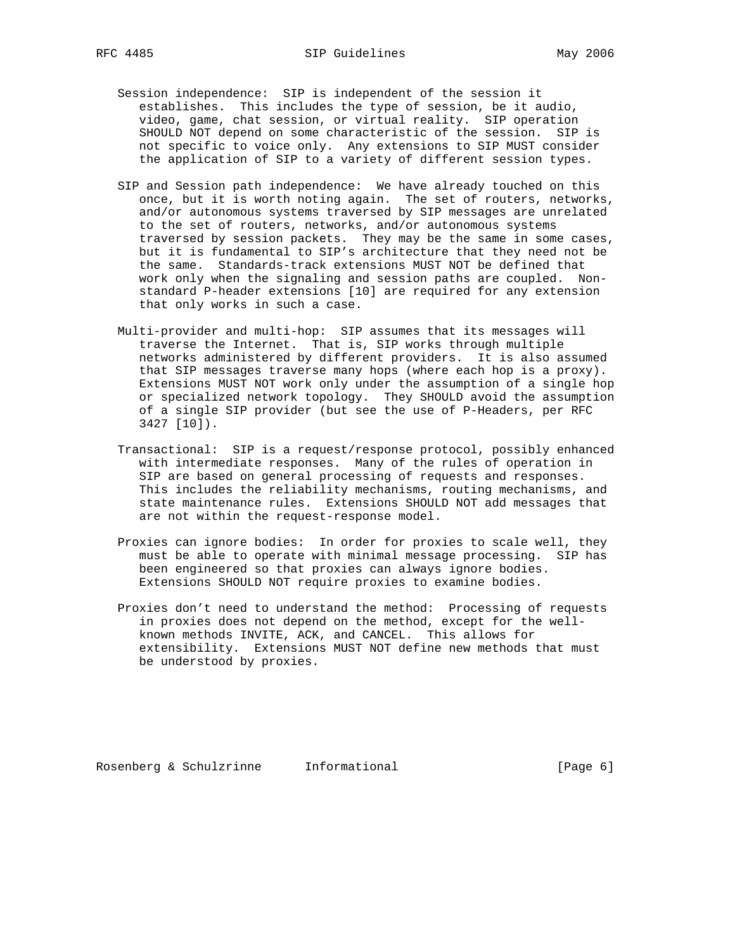- Session independence: SIP is independent of the session it establishes. This includes the type of session, be it audio, video, game, chat session, or virtual reality. SIP operation SHOULD NOT depend on some characteristic of the session. SIP is not specific to voice only. Any extensions to SIP MUST consider the application of SIP to a variety of different session types.
- SIP and Session path independence: We have already touched on this once, but it is worth noting again. The set of routers, networks, and/or autonomous systems traversed by SIP messages are unrelated to the set of routers, networks, and/or autonomous systems traversed by session packets. They may be the same in some cases, but it is fundamental to SIP's architecture that they need not be the same. Standards-track extensions MUST NOT be defined that work only when the signaling and session paths are coupled. Non standard P-header extensions [10] are required for any extension that only works in such a case.
- Multi-provider and multi-hop: SIP assumes that its messages will traverse the Internet. That is, SIP works through multiple networks administered by different providers. It is also assumed that SIP messages traverse many hops (where each hop is a proxy). Extensions MUST NOT work only under the assumption of a single hop or specialized network topology. They SHOULD avoid the assumption of a single SIP provider (but see the use of P-Headers, per RFC 3427 [10]).
- Transactional: SIP is a request/response protocol, possibly enhanced with intermediate responses. Many of the rules of operation in SIP are based on general processing of requests and responses. This includes the reliability mechanisms, routing mechanisms, and state maintenance rules. Extensions SHOULD NOT add messages that are not within the request-response model.
- Proxies can ignore bodies: In order for proxies to scale well, they must be able to operate with minimal message processing. SIP has been engineered so that proxies can always ignore bodies. Extensions SHOULD NOT require proxies to examine bodies.
- Proxies don't need to understand the method: Processing of requests in proxies does not depend on the method, except for the well known methods INVITE, ACK, and CANCEL. This allows for extensibility. Extensions MUST NOT define new methods that must be understood by proxies.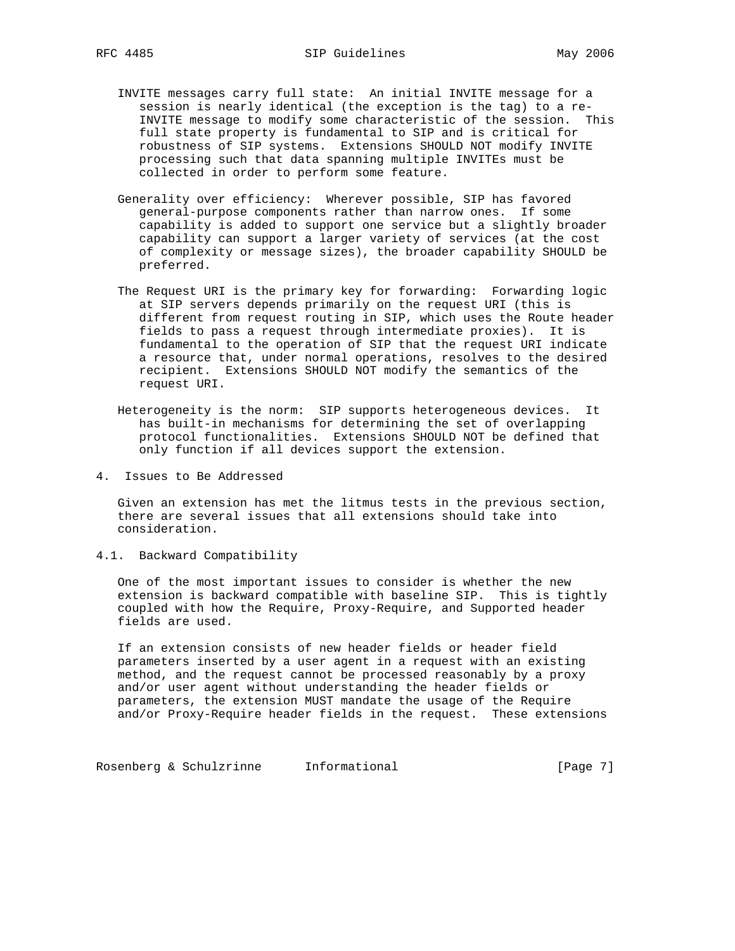- INVITE messages carry full state: An initial INVITE message for a session is nearly identical (the exception is the tag) to a re- INVITE message to modify some characteristic of the session. This full state property is fundamental to SIP and is critical for robustness of SIP systems. Extensions SHOULD NOT modify INVITE processing such that data spanning multiple INVITEs must be collected in order to perform some feature.
- Generality over efficiency: Wherever possible, SIP has favored general-purpose components rather than narrow ones. If some capability is added to support one service but a slightly broader capability can support a larger variety of services (at the cost of complexity or message sizes), the broader capability SHOULD be preferred.
- The Request URI is the primary key for forwarding: Forwarding logic at SIP servers depends primarily on the request URI (this is different from request routing in SIP, which uses the Route header fields to pass a request through intermediate proxies). It is fundamental to the operation of SIP that the request URI indicate a resource that, under normal operations, resolves to the desired recipient. Extensions SHOULD NOT modify the semantics of the request URI.
- Heterogeneity is the norm: SIP supports heterogeneous devices. It has built-in mechanisms for determining the set of overlapping protocol functionalities. Extensions SHOULD NOT be defined that only function if all devices support the extension.
- 4. Issues to Be Addressed

 Given an extension has met the litmus tests in the previous section, there are several issues that all extensions should take into consideration.

4.1. Backward Compatibility

 One of the most important issues to consider is whether the new extension is backward compatible with baseline SIP. This is tightly coupled with how the Require, Proxy-Require, and Supported header fields are used.

 If an extension consists of new header fields or header field parameters inserted by a user agent in a request with an existing method, and the request cannot be processed reasonably by a proxy and/or user agent without understanding the header fields or parameters, the extension MUST mandate the usage of the Require and/or Proxy-Require header fields in the request. These extensions

Rosenberg & Schulzrinne Informational (Page 7)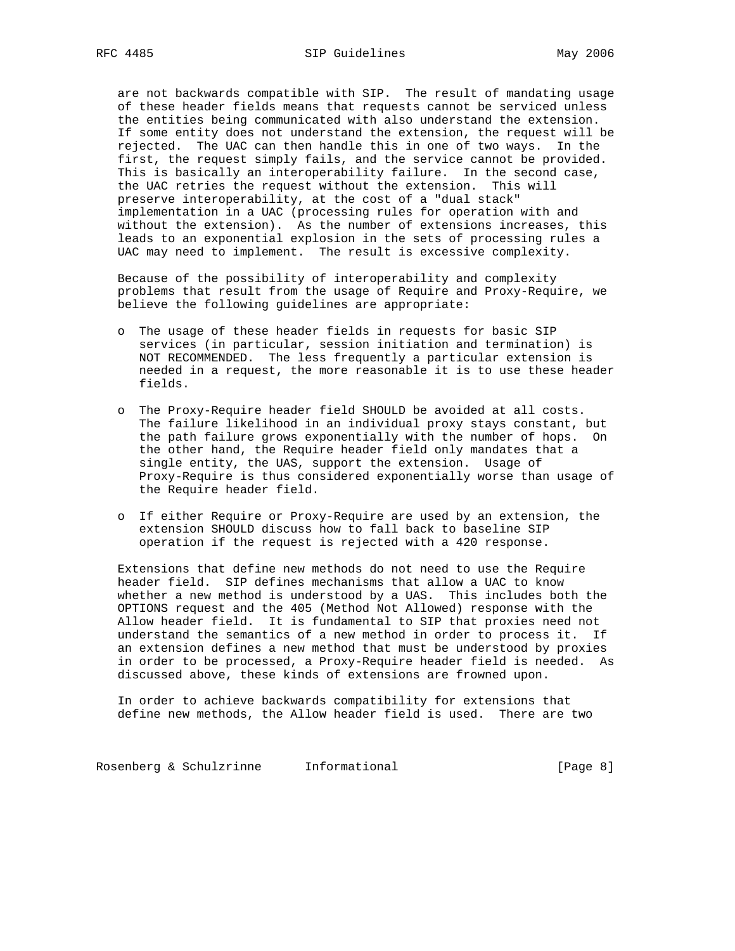are not backwards compatible with SIP. The result of mandating usage of these header fields means that requests cannot be serviced unless the entities being communicated with also understand the extension. If some entity does not understand the extension, the request will be rejected. The UAC can then handle this in one of two ways. In the first, the request simply fails, and the service cannot be provided. This is basically an interoperability failure. In the second case, the UAC retries the request without the extension. This will preserve interoperability, at the cost of a "dual stack" implementation in a UAC (processing rules for operation with and without the extension). As the number of extensions increases, this leads to an exponential explosion in the sets of processing rules a UAC may need to implement. The result is excessive complexity.

 Because of the possibility of interoperability and complexity problems that result from the usage of Require and Proxy-Require, we believe the following guidelines are appropriate:

- o The usage of these header fields in requests for basic SIP services (in particular, session initiation and termination) is NOT RECOMMENDED. The less frequently a particular extension is needed in a request, the more reasonable it is to use these header fields.
- o The Proxy-Require header field SHOULD be avoided at all costs. The failure likelihood in an individual proxy stays constant, but the path failure grows exponentially with the number of hops. On the other hand, the Require header field only mandates that a single entity, the UAS, support the extension. Usage of Proxy-Require is thus considered exponentially worse than usage of the Require header field.
- o If either Require or Proxy-Require are used by an extension, the extension SHOULD discuss how to fall back to baseline SIP operation if the request is rejected with a 420 response.

 Extensions that define new methods do not need to use the Require header field. SIP defines mechanisms that allow a UAC to know whether a new method is understood by a UAS. This includes both the OPTIONS request and the 405 (Method Not Allowed) response with the Allow header field. It is fundamental to SIP that proxies need not understand the semantics of a new method in order to process it. If an extension defines a new method that must be understood by proxies in order to be processed, a Proxy-Require header field is needed. As discussed above, these kinds of extensions are frowned upon.

 In order to achieve backwards compatibility for extensions that define new methods, the Allow header field is used. There are two

Rosenberg & Schulzrinne Informational (Page 8)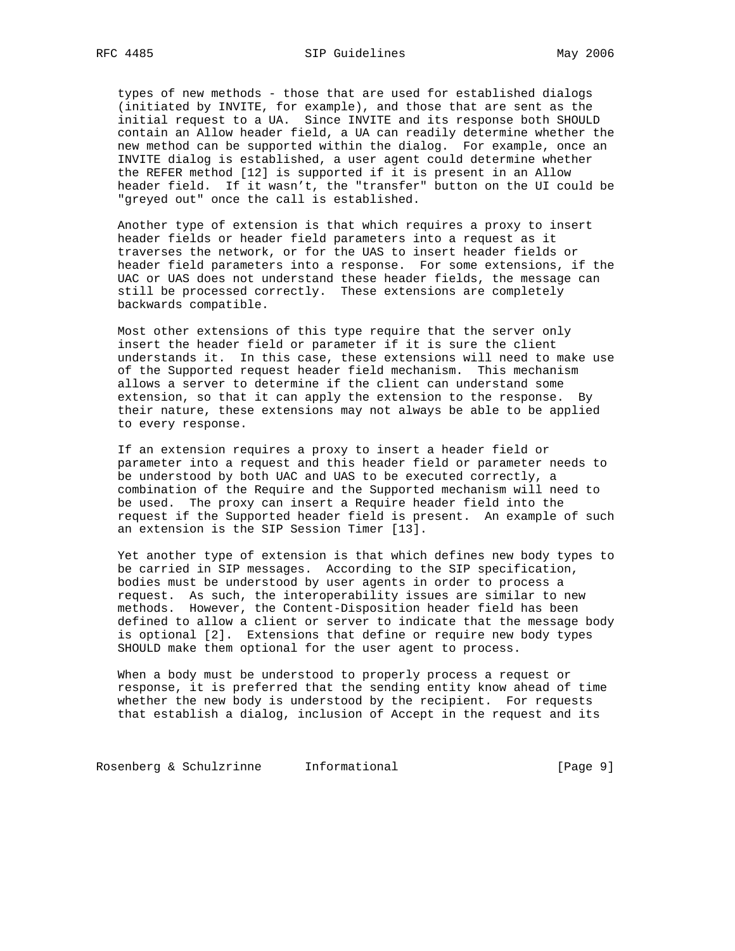types of new methods - those that are used for established dialogs (initiated by INVITE, for example), and those that are sent as the initial request to a UA. Since INVITE and its response both SHOULD contain an Allow header field, a UA can readily determine whether the new method can be supported within the dialog. For example, once an INVITE dialog is established, a user agent could determine whether the REFER method [12] is supported if it is present in an Allow header field. If it wasn't, the "transfer" button on the UI could be "greyed out" once the call is established.

 Another type of extension is that which requires a proxy to insert header fields or header field parameters into a request as it traverses the network, or for the UAS to insert header fields or header field parameters into a response. For some extensions, if the UAC or UAS does not understand these header fields, the message can still be processed correctly. These extensions are completely backwards compatible.

 Most other extensions of this type require that the server only insert the header field or parameter if it is sure the client understands it. In this case, these extensions will need to make use of the Supported request header field mechanism. This mechanism allows a server to determine if the client can understand some extension, so that it can apply the extension to the response. By their nature, these extensions may not always be able to be applied to every response.

 If an extension requires a proxy to insert a header field or parameter into a request and this header field or parameter needs to be understood by both UAC and UAS to be executed correctly, a combination of the Require and the Supported mechanism will need to be used. The proxy can insert a Require header field into the request if the Supported header field is present. An example of such an extension is the SIP Session Timer [13].

 Yet another type of extension is that which defines new body types to be carried in SIP messages. According to the SIP specification, bodies must be understood by user agents in order to process a request. As such, the interoperability issues are similar to new methods. However, the Content-Disposition header field has been defined to allow a client or server to indicate that the message body is optional [2]. Extensions that define or require new body types SHOULD make them optional for the user agent to process.

 When a body must be understood to properly process a request or response, it is preferred that the sending entity know ahead of time whether the new body is understood by the recipient. For requests that establish a dialog, inclusion of Accept in the request and its

Rosenberg & Schulzrinne Informational (Page 9)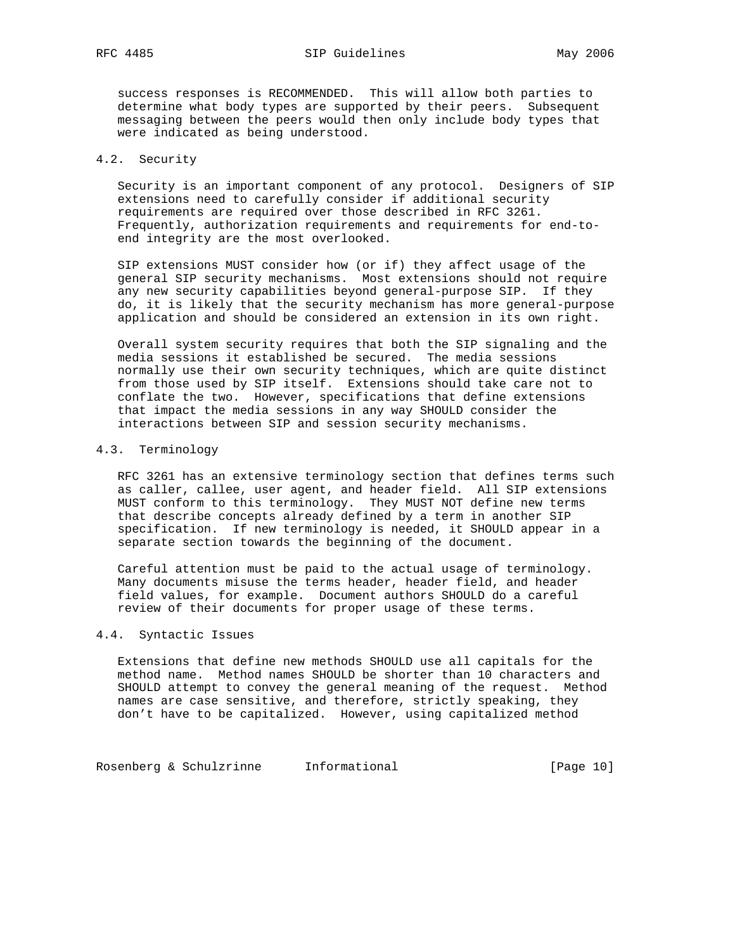RFC 4485 SIP Guidelines May 2006

 success responses is RECOMMENDED. This will allow both parties to determine what body types are supported by their peers. Subsequent messaging between the peers would then only include body types that were indicated as being understood.

## 4.2. Security

 Security is an important component of any protocol. Designers of SIP extensions need to carefully consider if additional security requirements are required over those described in RFC 3261. Frequently, authorization requirements and requirements for end-to end integrity are the most overlooked.

 SIP extensions MUST consider how (or if) they affect usage of the general SIP security mechanisms. Most extensions should not require any new security capabilities beyond general-purpose SIP. If they do, it is likely that the security mechanism has more general-purpose application and should be considered an extension in its own right.

 Overall system security requires that both the SIP signaling and the media sessions it established be secured. The media sessions normally use their own security techniques, which are quite distinct from those used by SIP itself. Extensions should take care not to conflate the two. However, specifications that define extensions that impact the media sessions in any way SHOULD consider the interactions between SIP and session security mechanisms.

## 4.3. Terminology

 RFC 3261 has an extensive terminology section that defines terms such as caller, callee, user agent, and header field. All SIP extensions MUST conform to this terminology. They MUST NOT define new terms that describe concepts already defined by a term in another SIP specification. If new terminology is needed, it SHOULD appear in a separate section towards the beginning of the document.

 Careful attention must be paid to the actual usage of terminology. Many documents misuse the terms header, header field, and header field values, for example. Document authors SHOULD do a careful review of their documents for proper usage of these terms.

## 4.4. Syntactic Issues

 Extensions that define new methods SHOULD use all capitals for the method name. Method names SHOULD be shorter than 10 characters and SHOULD attempt to convey the general meaning of the request. Method names are case sensitive, and therefore, strictly speaking, they don't have to be capitalized. However, using capitalized method

Rosenberg & Schulzrinne Informational (Page 10)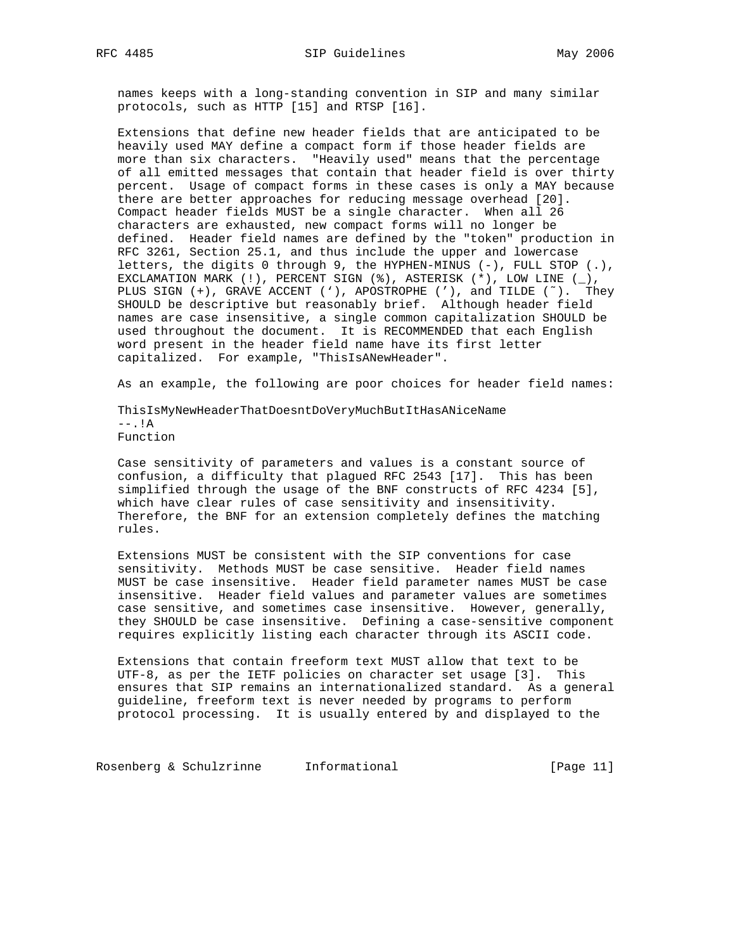names keeps with a long-standing convention in SIP and many similar protocols, such as HTTP [15] and RTSP [16].

 Extensions that define new header fields that are anticipated to be heavily used MAY define a compact form if those header fields are more than six characters. "Heavily used" means that the percentage of all emitted messages that contain that header field is over thirty percent. Usage of compact forms in these cases is only a MAY because there are better approaches for reducing message overhead [20]. Compact header fields MUST be a single character. When all 26 characters are exhausted, new compact forms will no longer be defined. Header field names are defined by the "token" production in RFC 3261, Section 25.1, and thus include the upper and lowercase letters, the digits 0 through 9, the HYPHEN-MINUS (-), FULL STOP (.), EXCLAMATION MARK (!), PERCENT SIGN (%), ASTERISK (\*), LOW LINE (\_), PLUS SIGN  $(+)$ , GRAVE ACCENT  $(')$ , APOSTROPHE  $(')$ , and TILDE  $(')$ . They SHOULD be descriptive but reasonably brief. Although header field names are case insensitive, a single common capitalization SHOULD be used throughout the document. It is RECOMMENDED that each English word present in the header field name have its first letter capitalized. For example, "ThisIsANewHeader".

As an example, the following are poor choices for header field names:

 ThisIsMyNewHeaderThatDoesntDoVeryMuchButItHasANiceName  $--.$ ! $A$ Function

 Case sensitivity of parameters and values is a constant source of confusion, a difficulty that plagued RFC 2543 [17]. This has been simplified through the usage of the BNF constructs of RFC 4234 [5], which have clear rules of case sensitivity and insensitivity. Therefore, the BNF for an extension completely defines the matching rules.

 Extensions MUST be consistent with the SIP conventions for case sensitivity. Methods MUST be case sensitive. Header field names MUST be case insensitive. Header field parameter names MUST be case insensitive. Header field values and parameter values are sometimes case sensitive, and sometimes case insensitive. However, generally, they SHOULD be case insensitive. Defining a case-sensitive component requires explicitly listing each character through its ASCII code.

 Extensions that contain freeform text MUST allow that text to be UTF-8, as per the IETF policies on character set usage [3]. This ensures that SIP remains an internationalized standard. As a general guideline, freeform text is never needed by programs to perform protocol processing. It is usually entered by and displayed to the

Rosenberg & Schulzrinne Informational (Page 11)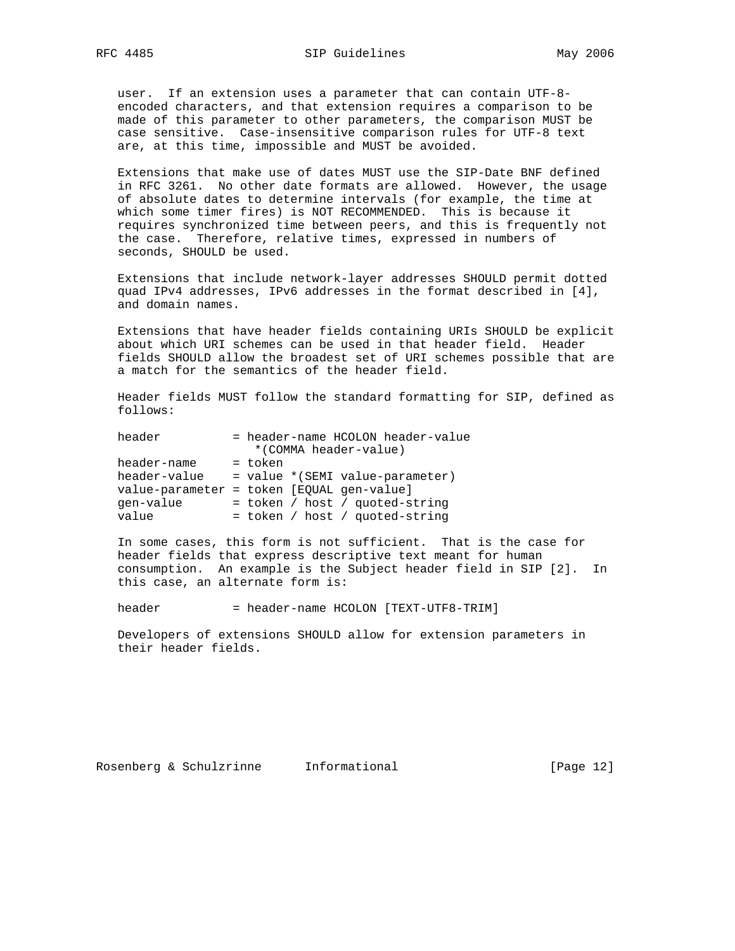user. If an extension uses a parameter that can contain UTF-8 encoded characters, and that extension requires a comparison to be made of this parameter to other parameters, the comparison MUST be case sensitive. Case-insensitive comparison rules for UTF-8 text are, at this time, impossible and MUST be avoided.

 Extensions that make use of dates MUST use the SIP-Date BNF defined in RFC 3261. No other date formats are allowed. However, the usage of absolute dates to determine intervals (for example, the time at which some timer fires) is NOT RECOMMENDED. This is because it requires synchronized time between peers, and this is frequently not the case. Therefore, relative times, expressed in numbers of seconds, SHOULD be used.

 Extensions that include network-layer addresses SHOULD permit dotted quad IPv4 addresses, IPv6 addresses in the format described in [4], and domain names.

 Extensions that have header fields containing URIs SHOULD be explicit about which URI schemes can be used in that header field. Header fields SHOULD allow the broadest set of URI schemes possible that are a match for the semantics of the header field.

 Header fields MUST follow the standard formatting for SIP, defined as follows:

| header       | = header-name HCOLON header-value         |
|--------------|-------------------------------------------|
|              | *(COMMA header-value)                     |
| header-name  | = token                                   |
| header-value | = value * (SEMI value-parameter)          |
|              | value-parameter = token [EQUAL gen-value] |
| qen-value    | = token / host / quoted-string            |
| value        | = token / host / quoted-string            |

 In some cases, this form is not sufficient. That is the case for header fields that express descriptive text meant for human consumption. An example is the Subject header field in SIP [2]. In this case, an alternate form is:

header = header-name HCOLON [TEXT-UTF8-TRIM]

 Developers of extensions SHOULD allow for extension parameters in their header fields.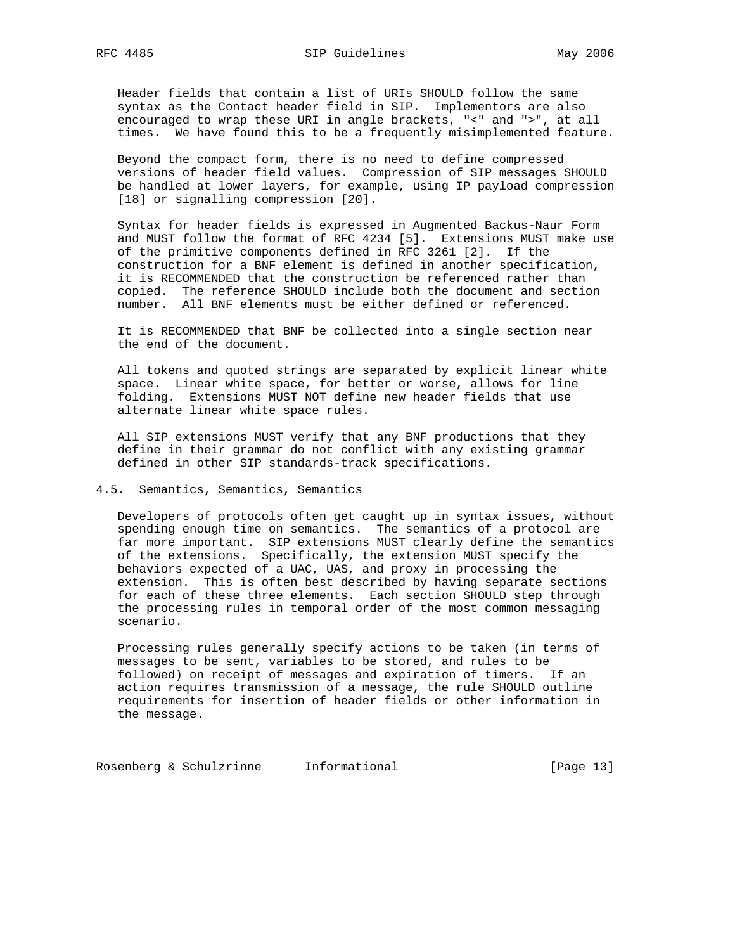Header fields that contain a list of URIs SHOULD follow the same syntax as the Contact header field in SIP. Implementors are also encouraged to wrap these URI in angle brackets, "<" and ">", at all times. We have found this to be a frequently misimplemented feature.

 Beyond the compact form, there is no need to define compressed versions of header field values. Compression of SIP messages SHOULD be handled at lower layers, for example, using IP payload compression [18] or signalling compression [20].

 Syntax for header fields is expressed in Augmented Backus-Naur Form and MUST follow the format of RFC 4234 [5]. Extensions MUST make use of the primitive components defined in RFC 3261 [2]. If the construction for a BNF element is defined in another specification, it is RECOMMENDED that the construction be referenced rather than copied. The reference SHOULD include both the document and section number. All BNF elements must be either defined or referenced.

 It is RECOMMENDED that BNF be collected into a single section near the end of the document.

 All tokens and quoted strings are separated by explicit linear white space. Linear white space, for better or worse, allows for line folding. Extensions MUST NOT define new header fields that use alternate linear white space rules.

 All SIP extensions MUST verify that any BNF productions that they define in their grammar do not conflict with any existing grammar defined in other SIP standards-track specifications.

### 4.5. Semantics, Semantics, Semantics

 Developers of protocols often get caught up in syntax issues, without spending enough time on semantics. The semantics of a protocol are far more important. SIP extensions MUST clearly define the semantics of the extensions. Specifically, the extension MUST specify the behaviors expected of a UAC, UAS, and proxy in processing the extension. This is often best described by having separate sections for each of these three elements. Each section SHOULD step through the processing rules in temporal order of the most common messaging scenario.

 Processing rules generally specify actions to be taken (in terms of messages to be sent, variables to be stored, and rules to be followed) on receipt of messages and expiration of timers. If an action requires transmission of a message, the rule SHOULD outline requirements for insertion of header fields or other information in the message.

Rosenberg & Schulzrinne Informational (Page 13)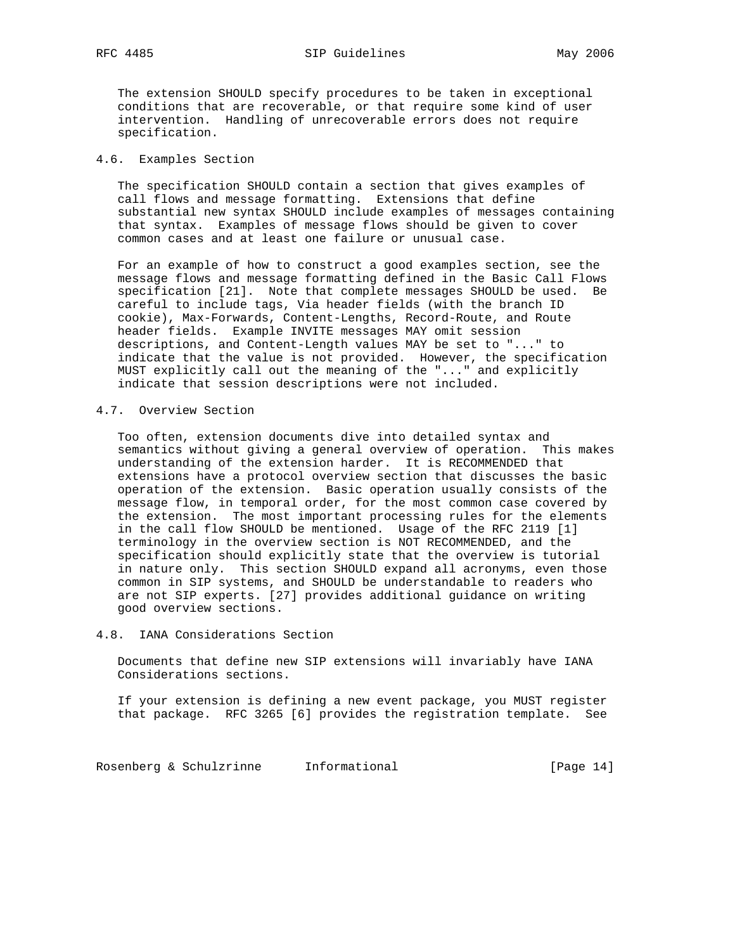The extension SHOULD specify procedures to be taken in exceptional conditions that are recoverable, or that require some kind of user intervention. Handling of unrecoverable errors does not require specification.

### 4.6. Examples Section

 The specification SHOULD contain a section that gives examples of call flows and message formatting. Extensions that define substantial new syntax SHOULD include examples of messages containing that syntax. Examples of message flows should be given to cover common cases and at least one failure or unusual case.

 For an example of how to construct a good examples section, see the message flows and message formatting defined in the Basic Call Flows specification [21]. Note that complete messages SHOULD be used. Be careful to include tags, Via header fields (with the branch ID cookie), Max-Forwards, Content-Lengths, Record-Route, and Route header fields. Example INVITE messages MAY omit session descriptions, and Content-Length values MAY be set to "..." to indicate that the value is not provided. However, the specification MUST explicitly call out the meaning of the "..." and explicitly indicate that session descriptions were not included.

## 4.7. Overview Section

 Too often, extension documents dive into detailed syntax and semantics without giving a general overview of operation. This makes understanding of the extension harder. It is RECOMMENDED that extensions have a protocol overview section that discusses the basic operation of the extension. Basic operation usually consists of the message flow, in temporal order, for the most common case covered by the extension. The most important processing rules for the elements in the call flow SHOULD be mentioned. Usage of the RFC 2119 [1] terminology in the overview section is NOT RECOMMENDED, and the specification should explicitly state that the overview is tutorial in nature only. This section SHOULD expand all acronyms, even those common in SIP systems, and SHOULD be understandable to readers who are not SIP experts. [27] provides additional guidance on writing good overview sections.

## 4.8. IANA Considerations Section

 Documents that define new SIP extensions will invariably have IANA Considerations sections.

 If your extension is defining a new event package, you MUST register that package. RFC 3265 [6] provides the registration template. See

Rosenberg & Schulzrinne Informational (Page 14)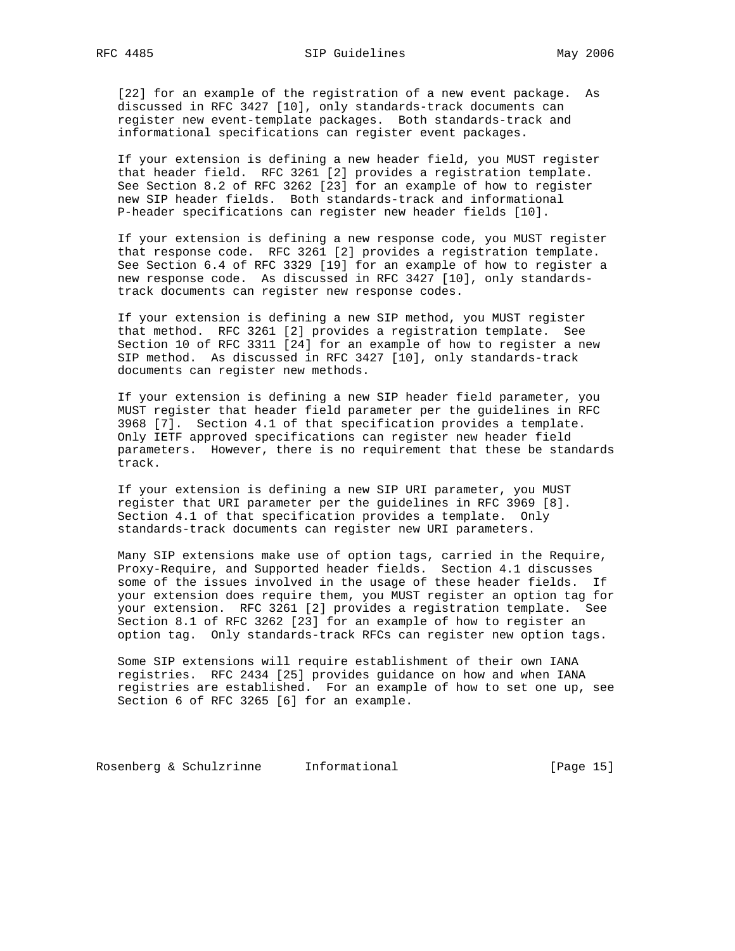[22] for an example of the registration of a new event package. As discussed in RFC 3427 [10], only standards-track documents can register new event-template packages. Both standards-track and informational specifications can register event packages.

 If your extension is defining a new header field, you MUST register that header field. RFC 3261 [2] provides a registration template. See Section 8.2 of RFC 3262 [23] for an example of how to register new SIP header fields. Both standards-track and informational P-header specifications can register new header fields [10].

 If your extension is defining a new response code, you MUST register that response code. RFC 3261 [2] provides a registration template. See Section 6.4 of RFC 3329 [19] for an example of how to register a new response code. As discussed in RFC 3427 [10], only standards track documents can register new response codes.

 If your extension is defining a new SIP method, you MUST register that method. RFC 3261 [2] provides a registration template. See Section 10 of RFC 3311 [24] for an example of how to register a new SIP method. As discussed in RFC 3427 [10], only standards-track documents can register new methods.

 If your extension is defining a new SIP header field parameter, you MUST register that header field parameter per the guidelines in RFC 3968 [7]. Section 4.1 of that specification provides a template. Only IETF approved specifications can register new header field parameters. However, there is no requirement that these be standards track.

 If your extension is defining a new SIP URI parameter, you MUST register that URI parameter per the guidelines in RFC 3969 [8]. Section 4.1 of that specification provides a template. Only standards-track documents can register new URI parameters.

 Many SIP extensions make use of option tags, carried in the Require, Proxy-Require, and Supported header fields. Section 4.1 discusses some of the issues involved in the usage of these header fields. If your extension does require them, you MUST register an option tag for your extension. RFC 3261 [2] provides a registration template. See Section 8.1 of RFC 3262 [23] for an example of how to register an option tag. Only standards-track RFCs can register new option tags.

 Some SIP extensions will require establishment of their own IANA registries. RFC 2434 [25] provides guidance on how and when IANA registries are established. For an example of how to set one up, see Section 6 of RFC 3265 [6] for an example.

Rosenberg & Schulzrinne Informational (Page 15)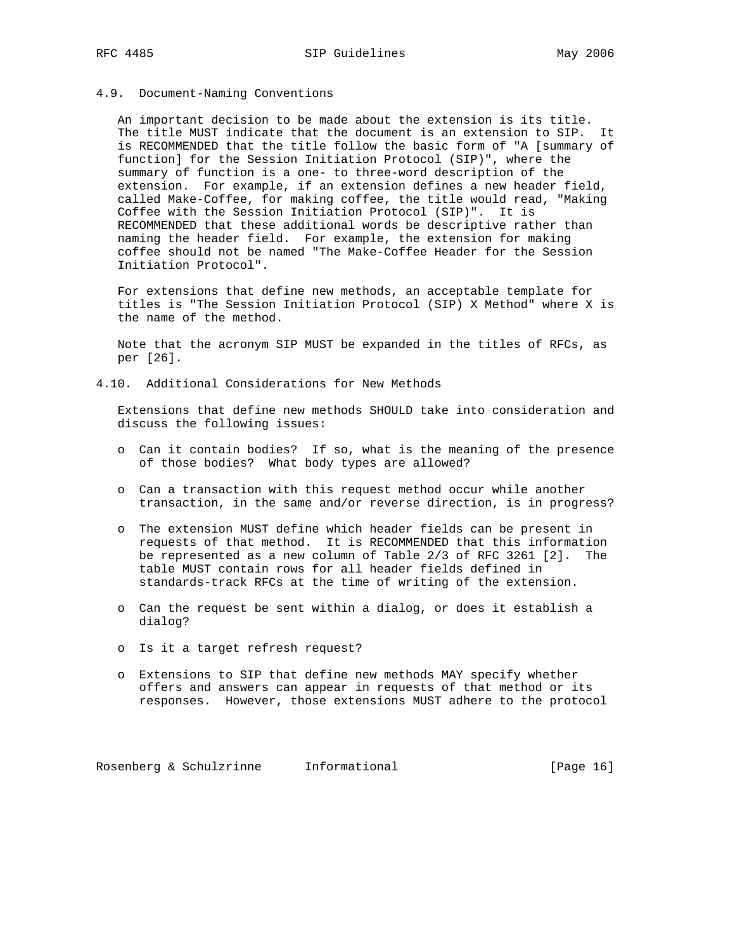### 4.9. Document-Naming Conventions

 An important decision to be made about the extension is its title. The title MUST indicate that the document is an extension to SIP. It is RECOMMENDED that the title follow the basic form of "A [summary of function] for the Session Initiation Protocol (SIP)", where the summary of function is a one- to three-word description of the extension. For example, if an extension defines a new header field, called Make-Coffee, for making coffee, the title would read, "Making Coffee with the Session Initiation Protocol (SIP)". It is RECOMMENDED that these additional words be descriptive rather than naming the header field. For example, the extension for making coffee should not be named "The Make-Coffee Header for the Session Initiation Protocol".

 For extensions that define new methods, an acceptable template for titles is "The Session Initiation Protocol (SIP) X Method" where X is the name of the method.

 Note that the acronym SIP MUST be expanded in the titles of RFCs, as per [26].

4.10. Additional Considerations for New Methods

 Extensions that define new methods SHOULD take into consideration and discuss the following issues:

- o Can it contain bodies? If so, what is the meaning of the presence of those bodies? What body types are allowed?
- o Can a transaction with this request method occur while another transaction, in the same and/or reverse direction, is in progress?
- o The extension MUST define which header fields can be present in requests of that method. It is RECOMMENDED that this information be represented as a new column of Table 2/3 of RFC 3261 [2]. The table MUST contain rows for all header fields defined in standards-track RFCs at the time of writing of the extension.
- o Can the request be sent within a dialog, or does it establish a dialog?
- o Is it a target refresh request?
- o Extensions to SIP that define new methods MAY specify whether offers and answers can appear in requests of that method or its responses. However, those extensions MUST adhere to the protocol

Rosenberg & Schulzrinne Informational [Page 16]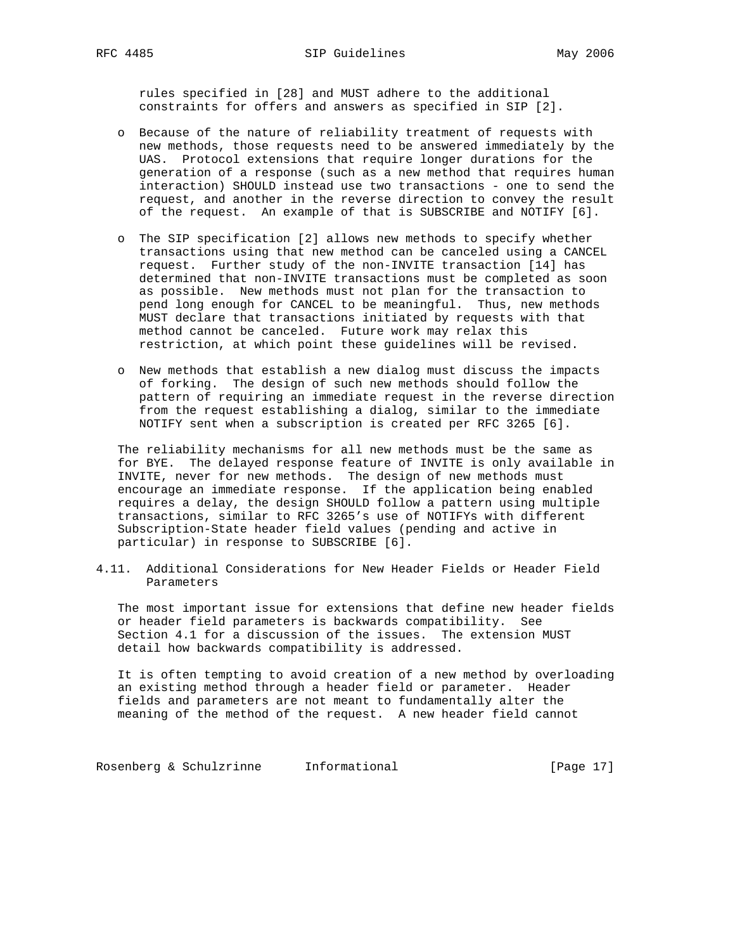rules specified in [28] and MUST adhere to the additional constraints for offers and answers as specified in SIP [2].

- o Because of the nature of reliability treatment of requests with new methods, those requests need to be answered immediately by the UAS. Protocol extensions that require longer durations for the generation of a response (such as a new method that requires human interaction) SHOULD instead use two transactions - one to send the request, and another in the reverse direction to convey the result of the request. An example of that is SUBSCRIBE and NOTIFY [6].
- o The SIP specification [2] allows new methods to specify whether transactions using that new method can be canceled using a CANCEL request. Further study of the non-INVITE transaction [14] has determined that non-INVITE transactions must be completed as soon as possible. New methods must not plan for the transaction to pend long enough for CANCEL to be meaningful. Thus, new methods MUST declare that transactions initiated by requests with that method cannot be canceled. Future work may relax this restriction, at which point these guidelines will be revised.
- o New methods that establish a new dialog must discuss the impacts of forking. The design of such new methods should follow the pattern of requiring an immediate request in the reverse direction from the request establishing a dialog, similar to the immediate NOTIFY sent when a subscription is created per RFC 3265 [6].

 The reliability mechanisms for all new methods must be the same as for BYE. The delayed response feature of INVITE is only available in INVITE, never for new methods. The design of new methods must encourage an immediate response. If the application being enabled requires a delay, the design SHOULD follow a pattern using multiple transactions, similar to RFC 3265's use of NOTIFYs with different Subscription-State header field values (pending and active in particular) in response to SUBSCRIBE [6].

4.11. Additional Considerations for New Header Fields or Header Field Parameters

 The most important issue for extensions that define new header fields or header field parameters is backwards compatibility. See Section 4.1 for a discussion of the issues. The extension MUST detail how backwards compatibility is addressed.

 It is often tempting to avoid creation of a new method by overloading an existing method through a header field or parameter. Header fields and parameters are not meant to fundamentally alter the meaning of the method of the request. A new header field cannot

Rosenberg & Schulzrinne Informational (Page 17)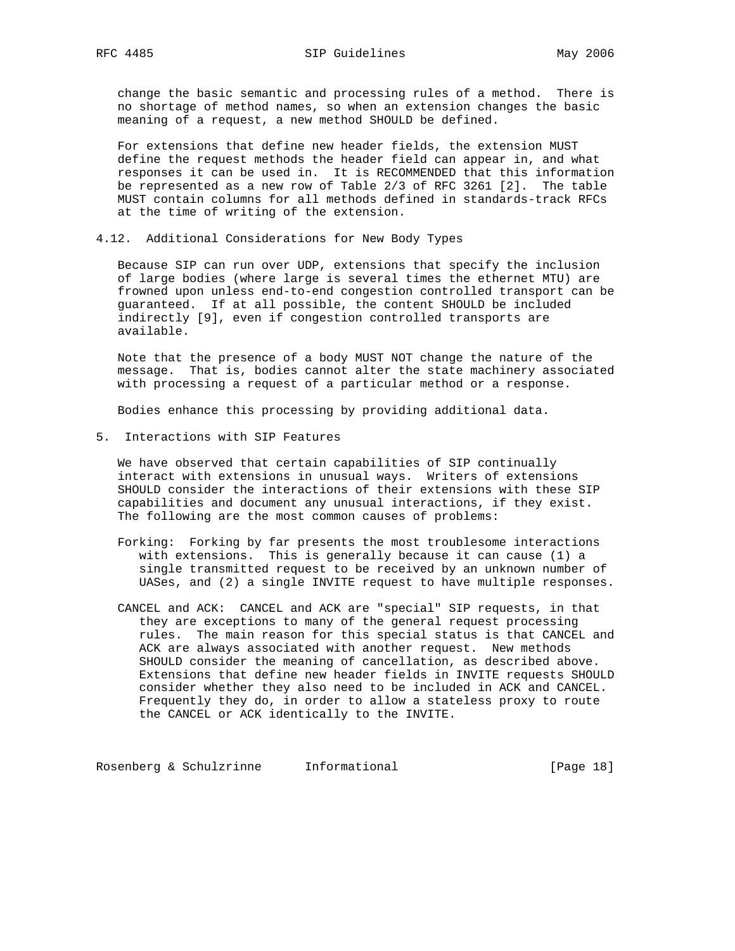change the basic semantic and processing rules of a method. There is no shortage of method names, so when an extension changes the basic meaning of a request, a new method SHOULD be defined.

 For extensions that define new header fields, the extension MUST define the request methods the header field can appear in, and what responses it can be used in. It is RECOMMENDED that this information be represented as a new row of Table 2/3 of RFC 3261 [2]. The table MUST contain columns for all methods defined in standards-track RFCs at the time of writing of the extension.

4.12. Additional Considerations for New Body Types

 Because SIP can run over UDP, extensions that specify the inclusion of large bodies (where large is several times the ethernet MTU) are frowned upon unless end-to-end congestion controlled transport can be guaranteed. If at all possible, the content SHOULD be included indirectly [9], even if congestion controlled transports are available.

 Note that the presence of a body MUST NOT change the nature of the message. That is, bodies cannot alter the state machinery associated with processing a request of a particular method or a response.

Bodies enhance this processing by providing additional data.

5. Interactions with SIP Features

 We have observed that certain capabilities of SIP continually interact with extensions in unusual ways. Writers of extensions SHOULD consider the interactions of their extensions with these SIP capabilities and document any unusual interactions, if they exist. The following are the most common causes of problems:

- Forking: Forking by far presents the most troublesome interactions with extensions. This is generally because it can cause (1) a single transmitted request to be received by an unknown number of UASes, and (2) a single INVITE request to have multiple responses.
- CANCEL and ACK: CANCEL and ACK are "special" SIP requests, in that they are exceptions to many of the general request processing rules. The main reason for this special status is that CANCEL and ACK are always associated with another request. New methods SHOULD consider the meaning of cancellation, as described above. Extensions that define new header fields in INVITE requests SHOULD consider whether they also need to be included in ACK and CANCEL. Frequently they do, in order to allow a stateless proxy to route the CANCEL or ACK identically to the INVITE.

Rosenberg & Schulzrinne Informational [Page 18]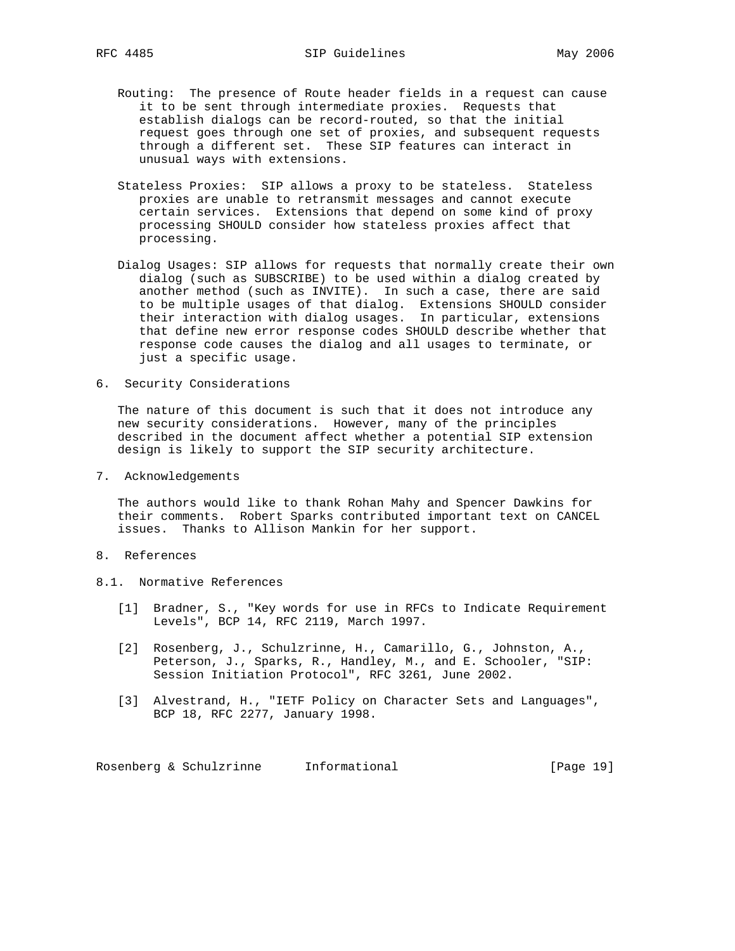- Routing: The presence of Route header fields in a request can cause it to be sent through intermediate proxies. Requests that establish dialogs can be record-routed, so that the initial request goes through one set of proxies, and subsequent requests through a different set. These SIP features can interact in unusual ways with extensions.
- Stateless Proxies: SIP allows a proxy to be stateless. Stateless proxies are unable to retransmit messages and cannot execute certain services. Extensions that depend on some kind of proxy processing SHOULD consider how stateless proxies affect that processing.
- Dialog Usages: SIP allows for requests that normally create their own dialog (such as SUBSCRIBE) to be used within a dialog created by another method (such as INVITE). In such a case, there are said to be multiple usages of that dialog. Extensions SHOULD consider their interaction with dialog usages. In particular, extensions that define new error response codes SHOULD describe whether that response code causes the dialog and all usages to terminate, or just a specific usage.
- 6. Security Considerations

 The nature of this document is such that it does not introduce any new security considerations. However, many of the principles described in the document affect whether a potential SIP extension design is likely to support the SIP security architecture.

7. Acknowledgements

 The authors would like to thank Rohan Mahy and Spencer Dawkins for their comments. Robert Sparks contributed important text on CANCEL issues. Thanks to Allison Mankin for her support.

- 8. References
- 8.1. Normative References
	- [1] Bradner, S., "Key words for use in RFCs to Indicate Requirement Levels", BCP 14, RFC 2119, March 1997.
	- [2] Rosenberg, J., Schulzrinne, H., Camarillo, G., Johnston, A., Peterson, J., Sparks, R., Handley, M., and E. Schooler, "SIP: Session Initiation Protocol", RFC 3261, June 2002.
	- [3] Alvestrand, H., "IETF Policy on Character Sets and Languages", BCP 18, RFC 2277, January 1998.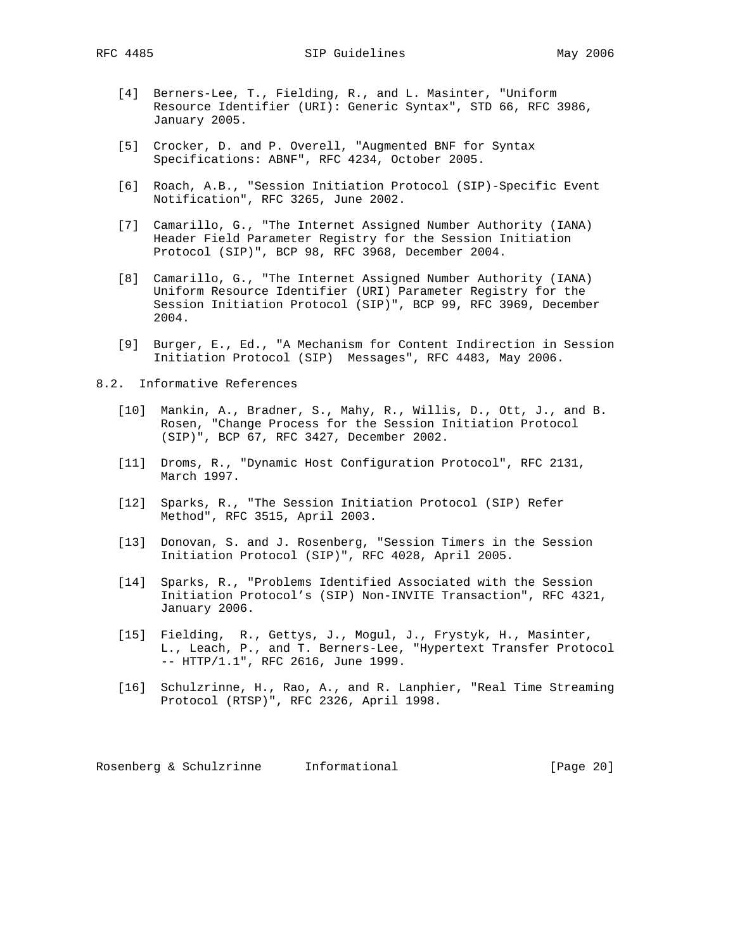- [4] Berners-Lee, T., Fielding, R., and L. Masinter, "Uniform Resource Identifier (URI): Generic Syntax", STD 66, RFC 3986, January 2005.
- [5] Crocker, D. and P. Overell, "Augmented BNF for Syntax Specifications: ABNF", RFC 4234, October 2005.
- [6] Roach, A.B., "Session Initiation Protocol (SIP)-Specific Event Notification", RFC 3265, June 2002.
- [7] Camarillo, G., "The Internet Assigned Number Authority (IANA) Header Field Parameter Registry for the Session Initiation Protocol (SIP)", BCP 98, RFC 3968, December 2004.
- [8] Camarillo, G., "The Internet Assigned Number Authority (IANA) Uniform Resource Identifier (URI) Parameter Registry for the Session Initiation Protocol (SIP)", BCP 99, RFC 3969, December 2004.
- [9] Burger, E., Ed., "A Mechanism for Content Indirection in Session Initiation Protocol (SIP) Messages", RFC 4483, May 2006.
- 8.2. Informative References
	- [10] Mankin, A., Bradner, S., Mahy, R., Willis, D., Ott, J., and B. Rosen, "Change Process for the Session Initiation Protocol (SIP)", BCP 67, RFC 3427, December 2002.
	- [11] Droms, R., "Dynamic Host Configuration Protocol", RFC 2131, March 1997.
	- [12] Sparks, R., "The Session Initiation Protocol (SIP) Refer Method", RFC 3515, April 2003.
	- [13] Donovan, S. and J. Rosenberg, "Session Timers in the Session Initiation Protocol (SIP)", RFC 4028, April 2005.
	- [14] Sparks, R., "Problems Identified Associated with the Session Initiation Protocol's (SIP) Non-INVITE Transaction", RFC 4321, January 2006.
	- [15] Fielding, R., Gettys, J., Mogul, J., Frystyk, H., Masinter, L., Leach, P., and T. Berners-Lee, "Hypertext Transfer Protocol -- HTTP/1.1", RFC 2616, June 1999.
	- [16] Schulzrinne, H., Rao, A., and R. Lanphier, "Real Time Streaming Protocol (RTSP)", RFC 2326, April 1998.

Rosenberg & Schulzrinne Informational [Page 20]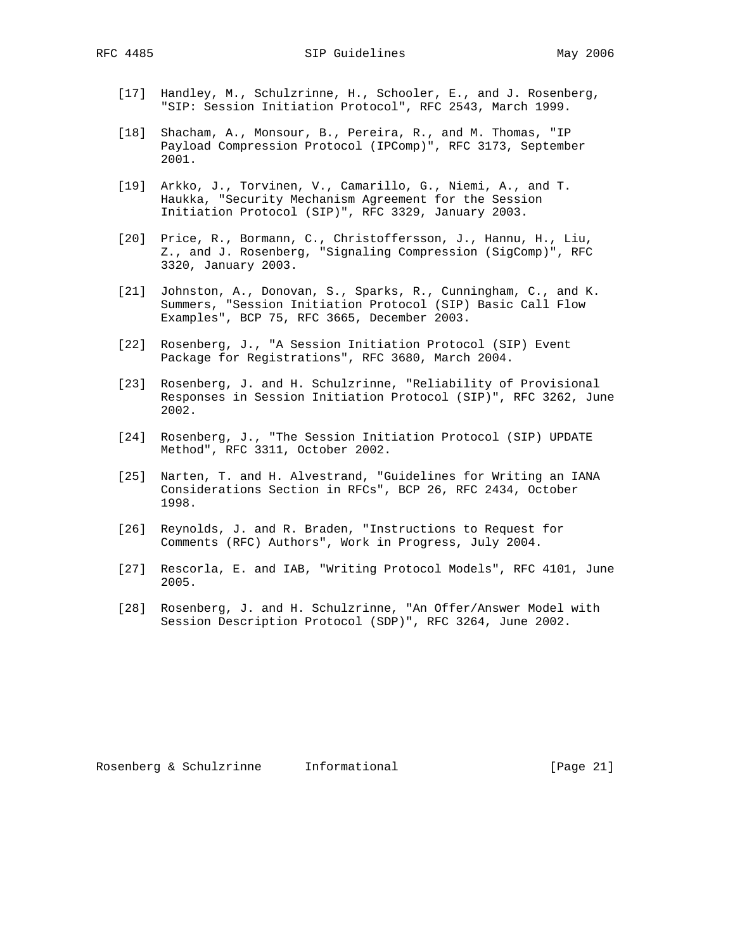RFC 4485 SIP Guidelines May 2006

- [17] Handley, M., Schulzrinne, H., Schooler, E., and J. Rosenberg, "SIP: Session Initiation Protocol", RFC 2543, March 1999.
- [18] Shacham, A., Monsour, B., Pereira, R., and M. Thomas, "IP Payload Compression Protocol (IPComp)", RFC 3173, September 2001.
- [19] Arkko, J., Torvinen, V., Camarillo, G., Niemi, A., and T. Haukka, "Security Mechanism Agreement for the Session Initiation Protocol (SIP)", RFC 3329, January 2003.
- [20] Price, R., Bormann, C., Christoffersson, J., Hannu, H., Liu, Z., and J. Rosenberg, "Signaling Compression (SigComp)", RFC 3320, January 2003.
- [21] Johnston, A., Donovan, S., Sparks, R., Cunningham, C., and K. Summers, "Session Initiation Protocol (SIP) Basic Call Flow Examples", BCP 75, RFC 3665, December 2003.
- [22] Rosenberg, J., "A Session Initiation Protocol (SIP) Event Package for Registrations", RFC 3680, March 2004.
- [23] Rosenberg, J. and H. Schulzrinne, "Reliability of Provisional Responses in Session Initiation Protocol (SIP)", RFC 3262, June 2002.
- [24] Rosenberg, J., "The Session Initiation Protocol (SIP) UPDATE Method", RFC 3311, October 2002.
- [25] Narten, T. and H. Alvestrand, "Guidelines for Writing an IANA Considerations Section in RFCs", BCP 26, RFC 2434, October 1998.
- [26] Reynolds, J. and R. Braden, "Instructions to Request for Comments (RFC) Authors", Work in Progress, July 2004.
- [27] Rescorla, E. and IAB, "Writing Protocol Models", RFC 4101, June 2005.
- [28] Rosenberg, J. and H. Schulzrinne, "An Offer/Answer Model with Session Description Protocol (SDP)", RFC 3264, June 2002.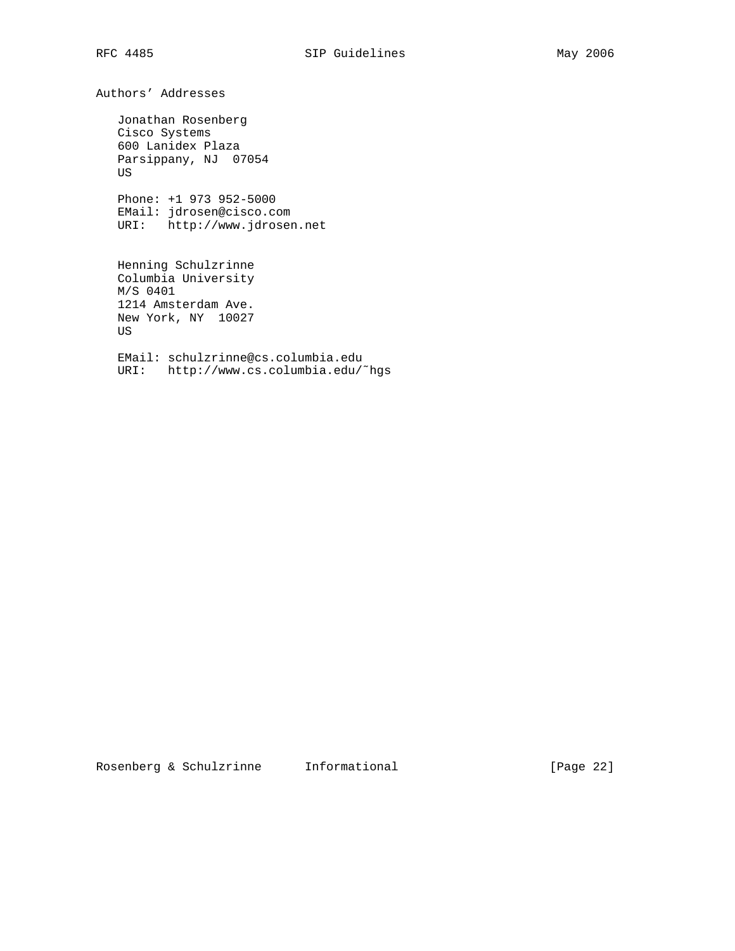Authors' Addresses

 Jonathan Rosenberg Cisco Systems 600 Lanidex Plaza Parsippany, NJ 07054 US

 Phone: +1 973 952-5000 EMail: jdrosen@cisco.com URI: http://www.jdrosen.net

 Henning Schulzrinne Columbia University M/S 0401 1214 Amsterdam Ave. New York, NY 10027 US

 EMail: schulzrinne@cs.columbia.edu URI: http://www.cs.columbia.edu/˜hgs